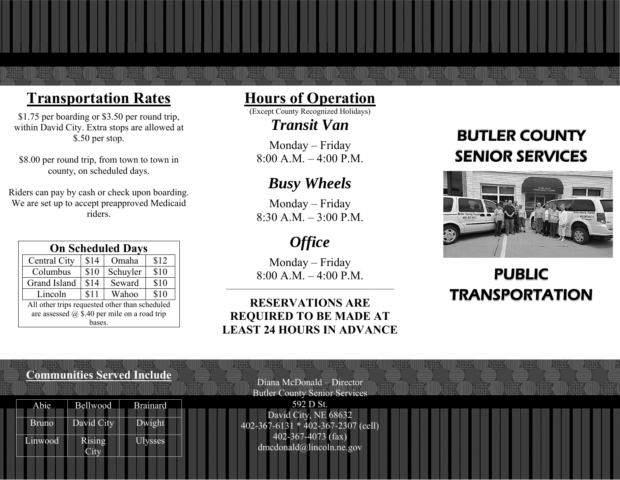# **Transportation Rates**

\$1.75 per boarding or \$3.50 per round trip, within David City. Extra stops are allowed at \$.50 per stop.

\$8.00 per round trip, from town to town in county, on scheduled days.

Riders can pay by cash or check upon boarding. We are set up to accept preapproved Medicaid riders.

| <b>On Scheduled Days</b>                            |      |          |      |  |
|-----------------------------------------------------|------|----------|------|--|
| Central City                                        | \$14 | Omaha    | \$12 |  |
| Columbus                                            | \$10 | Schuyler | \$10 |  |
| Grand Island                                        | \$14 | Seward   | \$10 |  |
| Lincoln                                             | \$11 | Wahoo    | \$10 |  |
| All other trips requested other than scheduled      |      |          |      |  |
| are assessed $\omega$ \$.40 per mile on a road trip |      |          |      |  |
| bases.                                              |      |          |      |  |

## **Hours of Operation**

(Except County Recognized Holidays)

*Transit Van* 

Monday – Friday  $8:00 A.M. - 4:00 P.M.$ 

## *Busy Wheels*

Monday – Friday  $8:30$  A.M.  $-3:00$  P.M.

# *Office*

Monday – Friday  $8:00$  A.M.  $-4:00$  P.M.

## **RESERVATIONS ARE REQUIRED TO BE MADE AT LEAST 24 HOURS IN ADVANCE**

**---------------------------------------------------------------------------------------------------------------------------------** 

# BUTLER COUNTY SENIOR SERVICES



# PUBLIC TRANSPORTATION

#### **Communities Served Include**

| Abie    | Bellwood   | <b>Brainard</b> |
|---------|------------|-----------------|
| Bruno   | David City | Dwight          |
| Linwood | Rising     | ysses           |

Butler County Senior Services 592 D St. David City, NE 68632 402-367-6131 \* 402-367-2307 (cell) 402-367-4073 (fax) dmcdonald@lincoln.ne.gov

Diana McDonald – Director